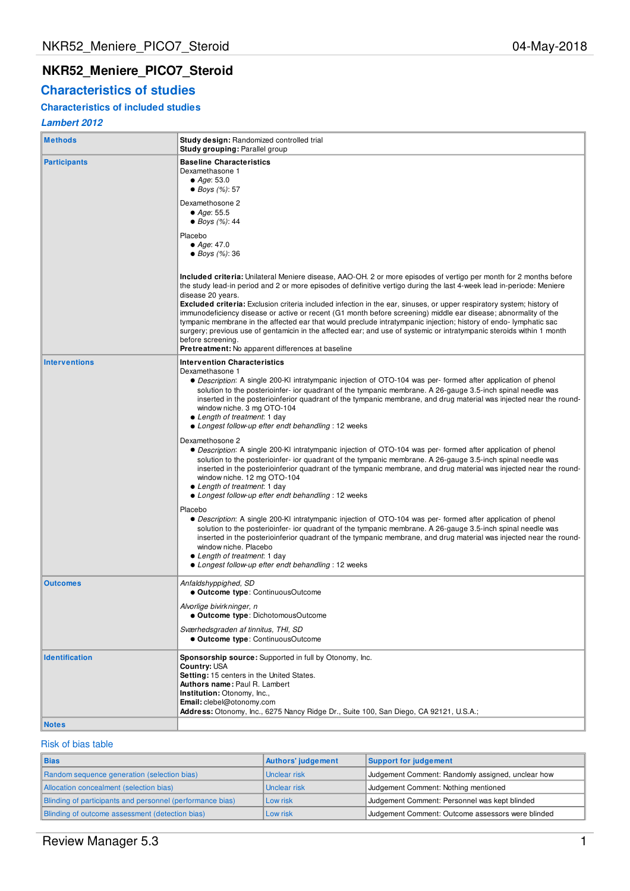# **NKR52\_Meniere\_PICO7\_Steroid**

# **Characteristics of studies**

## **Characteristics of included studies**

## **Lambert 2012**

| <b>Methods</b>        | <b>Study design: Randomized controlled trial</b><br>Study grouping: Parallel group                                                                                                                                                                                                                                                                                                                                                                                                                                                                                                                                                                                                                                                                                                                                                                                                                                                                                                                                                                                                                                                                                                                                                                                                                                                                                                                                                                                                                                  |
|-----------------------|---------------------------------------------------------------------------------------------------------------------------------------------------------------------------------------------------------------------------------------------------------------------------------------------------------------------------------------------------------------------------------------------------------------------------------------------------------------------------------------------------------------------------------------------------------------------------------------------------------------------------------------------------------------------------------------------------------------------------------------------------------------------------------------------------------------------------------------------------------------------------------------------------------------------------------------------------------------------------------------------------------------------------------------------------------------------------------------------------------------------------------------------------------------------------------------------------------------------------------------------------------------------------------------------------------------------------------------------------------------------------------------------------------------------------------------------------------------------------------------------------------------------|
| <b>Participants</b>   | <b>Baseline Characteristics</b><br>Dexamethasone 1<br>$\bullet$ Age: 53.0<br>• Boys $(\%): 57$<br>Dexamethosone 2<br>• Age: $55.5$<br>• Boys $(\%): 44$<br>Placebo<br>$\bullet$ Age: 47.0<br>• Boys $(\%)$ : 36                                                                                                                                                                                                                                                                                                                                                                                                                                                                                                                                                                                                                                                                                                                                                                                                                                                                                                                                                                                                                                                                                                                                                                                                                                                                                                     |
|                       | Included criteria: Unilateral Meniere disease, AAO-OH. 2 or more episodes of vertigo per month for 2 months before<br>the study lead-in period and 2 or more episodes of definitive vertigo during the last 4-week lead in-periode: Meniere<br>disease 20 years.<br>Excluded criteria: Exclusion criteria included infection in the ear, sinuses, or upper respiratory system; history of<br>immunodeficiency disease or active or recent (G1 month before screening) middle ear disease; abnormality of the<br>tympanic membrane in the affected ear that would preclude intratympanic injection; history of endo-lymphatic sac<br>surgery; previous use of gentamicin in the affected ear; and use of systemic or intratympanic steroids within 1 month<br>before screening.<br><b>Pretreatment:</b> No apparent differences at baseline                                                                                                                                                                                                                                                                                                                                                                                                                                                                                                                                                                                                                                                                          |
| <b>Interventions</b>  | <b>Intervention Characteristics</b><br>Dexamethasone 1<br>• Description: A single 200-KI intratympanic injection of OTO-104 was per-formed after application of phenol<br>solution to the posterioinfer- ior quadrant of the tympanic membrane. A 26-gauge 3.5-inch spinal needle was<br>inserted in the posterioinferior quadrant of the tympanic membrane, and drug material was injected near the round-<br>window niche. 3 mg OTO-104<br>• Length of treatment: 1 day<br>• Longest follow-up efter endt behandling : 12 weeks<br>Dexamethosone 2<br>• Description: A single 200-KI intratympanic injection of OTO-104 was per- formed after application of phenol<br>solution to the posterioinfer- ior quadrant of the tympanic membrane. A 26-gauge 3.5-inch spinal needle was<br>inserted in the posterioinferior quadrant of the tympanic membrane, and drug material was injected near the round-<br>window niche. 12 mg OTO-104<br>• Length of treatment: 1 day<br>• Longest follow-up efter endt behandling : 12 weeks<br>Placebo<br>• Description: A single 200-KI intratympanic injection of OTO-104 was per- formed after application of phenol<br>solution to the posterioinfer- ior quadrant of the tympanic membrane. A 26-gauge 3.5-inch spinal needle was<br>inserted in the posterioinferior quadrant of the tympanic membrane, and drug material was injected near the round-<br>window niche. Placebo<br>• Length of treatment: 1 day<br>• Longest follow-up efter endt behandling : 12 weeks |
| <b>Outcomes</b>       | Anfaldshyppighed, SD<br>• Outcome type: ContinuousOutcome<br>Alvorlige bivirkninger, n<br>• Outcome type: DichotomousOutcome<br>Sværhedsgraden af tinnitus, THI, SD<br>• Outcome type: ContinuousOutcome                                                                                                                                                                                                                                                                                                                                                                                                                                                                                                                                                                                                                                                                                                                                                                                                                                                                                                                                                                                                                                                                                                                                                                                                                                                                                                            |
| <b>Identification</b> | Sponsorship source: Supported in full by Otonomy, Inc.<br>Country: USA<br>Setting: 15 centers in the United States.<br><b>Authors name: Paul R. Lambert</b><br>Institution: Otonomy, Inc.,<br>Email: clebel@otonomy.com<br>Address: Otonomy, Inc., 6275 Nancy Ridge Dr., Suite 100, San Diego, CA 92121, U.S.A.;                                                                                                                                                                                                                                                                                                                                                                                                                                                                                                                                                                                                                                                                                                                                                                                                                                                                                                                                                                                                                                                                                                                                                                                                    |
| <b>Notes</b>          |                                                                                                                                                                                                                                                                                                                                                                                                                                                                                                                                                                                                                                                                                                                                                                                                                                                                                                                                                                                                                                                                                                                                                                                                                                                                                                                                                                                                                                                                                                                     |

### Risk of bias table

| <b>Bias</b>                                               | Authors' judgement | Support for judgement                             |
|-----------------------------------------------------------|--------------------|---------------------------------------------------|
| Random sequence generation (selection bias)               | Unclear risk       | Judgement Comment: Randomly assigned, unclear how |
| Allocation concealment (selection bias)                   | Unclear risk       | Judgement Comment: Nothing mentioned              |
| Blinding of participants and personnel (performance bias) | Low risk           | Judgement Comment: Personnel was kept blinded     |
| Blinding of outcome assessment (detection bias)           | Low risk           | Judgement Comment: Outcome assessors were blinded |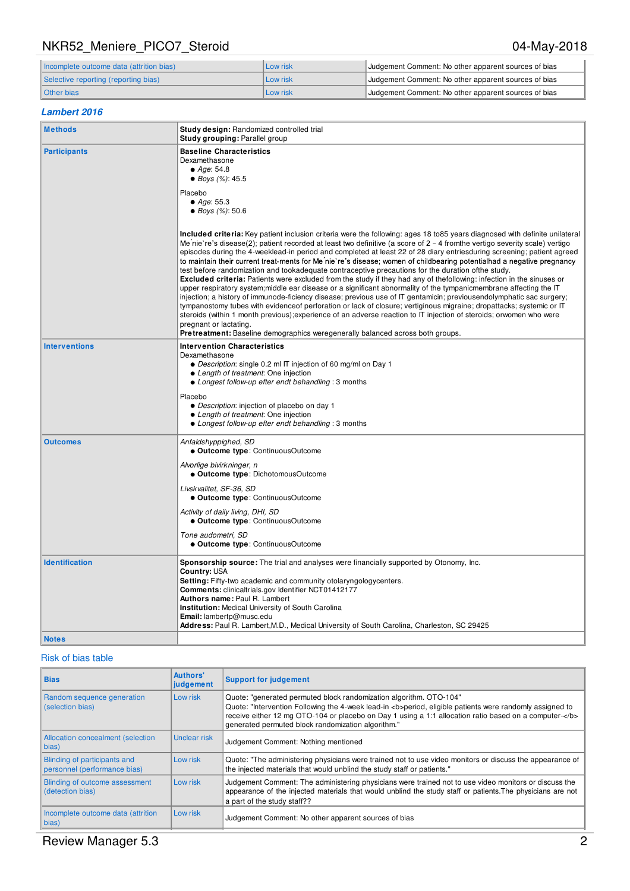# NKR52\_Meniere\_PICO7\_Steroid 04-May-2018

| Incomplete outcome data (attrition bias) | Low risk | Judgement Comment: No other apparent sources of bias |
|------------------------------------------|----------|------------------------------------------------------|
| Selective reporting (reporting bias)     | Low risk | Judgement Comment: No other apparent sources of bias |
| Other bias                               | Low risk | Judgement Comment: No other apparent sources of bias |

## **Lambert 2016**

| <b>Methods</b>        | Study design: Randomized controlled trial<br>Study grouping: Parallel group                                                                                                                                                                                                                                                                                                                                                                                                                                                                                                                                                                                                                                                                                                                                                                                                                                                                                                                                                                                                                                                                                                                                                                                                                                                                                     |
|-----------------------|-----------------------------------------------------------------------------------------------------------------------------------------------------------------------------------------------------------------------------------------------------------------------------------------------------------------------------------------------------------------------------------------------------------------------------------------------------------------------------------------------------------------------------------------------------------------------------------------------------------------------------------------------------------------------------------------------------------------------------------------------------------------------------------------------------------------------------------------------------------------------------------------------------------------------------------------------------------------------------------------------------------------------------------------------------------------------------------------------------------------------------------------------------------------------------------------------------------------------------------------------------------------------------------------------------------------------------------------------------------------|
| <b>Participants</b>   | <b>Baseline Characteristics</b><br>Dexamethasone<br>$\bullet$ Age: 54.8<br>● Boys (%): 45.5                                                                                                                                                                                                                                                                                                                                                                                                                                                                                                                                                                                                                                                                                                                                                                                                                                                                                                                                                                                                                                                                                                                                                                                                                                                                     |
|                       | Placebo<br>$\bullet$ Age: 55.3<br>• Boys $(\%)$ : 50.6                                                                                                                                                                                                                                                                                                                                                                                                                                                                                                                                                                                                                                                                                                                                                                                                                                                                                                                                                                                                                                                                                                                                                                                                                                                                                                          |
|                       | Included criteria: Key patient inclusion criteria were the following: ages 18 to85 years diagnosed with definite unilateral<br>Me nie re's disease(2); patient recorded at least two definitive (a score of $2 - 4$ fromthe vertigo severity scale) vertigo<br>episodes during the 4-weeklead-in period and completed at least 22 of 28 diary entriesduring screening; patient agreed<br>to maintain their current treat-ments for Me'nie're's disease; women of childbearing potentialhad a negative pregnancy<br>test before randomization and tookadequate contraceptive precautions for the duration of the study.<br>Excluded criteria: Patients were excluded from the study if they had any of thefollowing: infection in the sinuses or<br>upper respiratory system; middle ear disease or a significant abnormality of the tympanicmembrane affecting the IT<br>injection; a history of immunode-ficiency disease; previous use of IT gentamicin; previousendolymphatic sac surgery;<br>tympanostomy tubes with evidenceof perforation or lack of closure; vertiginous migraine; dropattacks; systemic or IT<br>steroids (within 1 month previous); experience of an adverse reaction to IT injection of steroids; orwomen who were<br>pregnant or lactating.<br><b>Pretreatment:</b> Baseline demographics weregenerally balanced across both groups. |
| <b>Interventions</b>  | <b>Intervention Characteristics</b><br>Dexamethasone<br>• Description: single 0.2 ml IT injection of 60 mg/ml on Day 1<br>• Length of treatment: One injection<br>• Longest follow-up efter endt behandling : 3 months<br>Placebo<br>• Description: injection of placebo on day 1<br>• Length of treatment: One injection<br>• Longest follow-up efter endt behandling : 3 months                                                                                                                                                                                                                                                                                                                                                                                                                                                                                                                                                                                                                                                                                                                                                                                                                                                                                                                                                                               |
| <b>Outcomes</b>       | Anfaldshyppighed, SD<br>· Outcome type: ContinuousOutcome<br>Alvorlige bivirkninger, n<br>· Outcome type: DichotomousOutcome<br>Livskvalitet, SF-36, SD<br>· Outcome type: ContinuousOutcome<br>Activity of daily living, DHI, SD<br>· Outcome type: ContinuousOutcome<br>Tone audometri, SD<br>· Outcome type: ContinuousOutcome                                                                                                                                                                                                                                                                                                                                                                                                                                                                                                                                                                                                                                                                                                                                                                                                                                                                                                                                                                                                                               |
| <b>Identification</b> | Sponsorship source: The trial and analyses were financially supported by Otonomy, Inc.<br>Country: USA<br>Setting: Fifty-two academic and community otolaryngologycenters.<br><b>Comments:</b> clinicaltrials.gov Identifier NCT01412177<br>Authors name: Paul R. Lambert<br><b>Institution:</b> Medical University of South Carolina<br>Email: lambertp@musc.edu<br>Address: Paul R. Lambert, M.D., Medical University of South Carolina, Charleston, SC 29425                                                                                                                                                                                                                                                                                                                                                                                                                                                                                                                                                                                                                                                                                                                                                                                                                                                                                                 |
| <b>Notes</b>          |                                                                                                                                                                                                                                                                                                                                                                                                                                                                                                                                                                                                                                                                                                                                                                                                                                                                                                                                                                                                                                                                                                                                                                                                                                                                                                                                                                 |

## Risk of bias table

| <b>Bias</b>                                                  | <b>Authors'</b><br>judgement | <b>Support for judgement</b>                                                                                                                                                                                                                                                                                                                    |
|--------------------------------------------------------------|------------------------------|-------------------------------------------------------------------------------------------------------------------------------------------------------------------------------------------------------------------------------------------------------------------------------------------------------------------------------------------------|
| Random sequence generation<br>(selection bias)               | Low risk                     | Quote: "generated permuted block randomization algorithm. OTO-104"<br>Quote: "Intervention Following the 4-week lead-in <b>period, eligible patients were randomly assigned to<br/>receive either 12 mg OTO-104 or placebo on Day 1 using a 1:1 allocation ratio based on a computer-</b><br>generated permuted block randomization algorithm." |
| Allocation concealment (selection<br> bias)                  | Unclear risk                 | Judgement Comment: Nothing mentioned                                                                                                                                                                                                                                                                                                            |
| Blinding of participants and<br>personnel (performance bias) | Low risk                     | Quote: "The administering physicians were trained not to use video monitors or discuss the appearance of<br>the injected materials that would unblind the study staff or patients."                                                                                                                                                             |
| Blinding of outcome assessment<br>(detection bias)           | Low risk                     | Judgement Comment: The administering physicians were trained not to use video monitors or discuss the<br>appearance of the injected materials that would unblind the study staff or patients. The physicians are not<br>a part of the study staff??                                                                                             |
| Incomplete outcome data (attrition<br>$\ $ bias)             | Low risk                     | Judgement Comment: No other apparent sources of bias                                                                                                                                                                                                                                                                                            |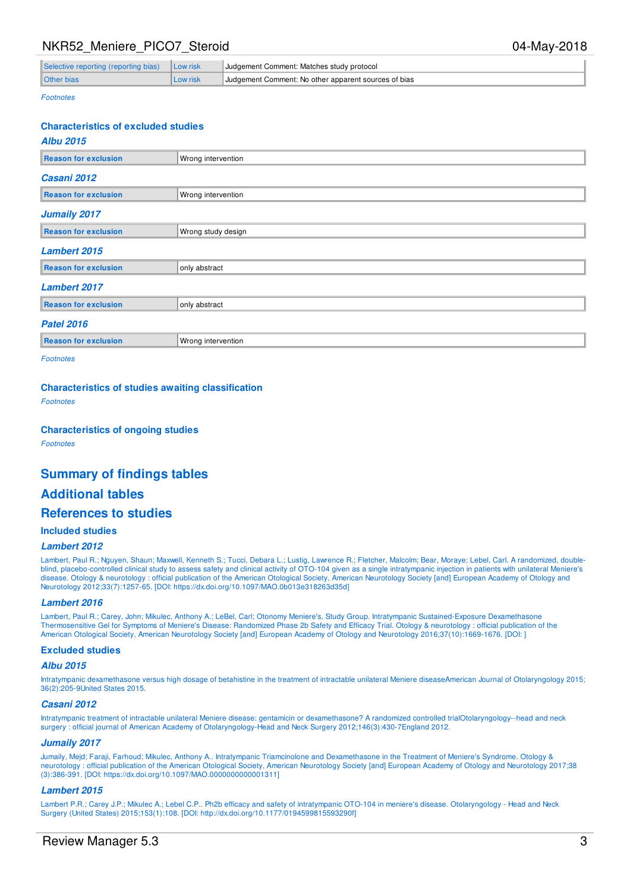## NKR52 Meniere PICO7 Steroid 04-May-2018

| Selective reporting (reporting bias)   Low risk |          | Judgement Comment: Matches study protocol            |
|-------------------------------------------------|----------|------------------------------------------------------|
| <b>Other bias</b>                               | Low risk | Judgement Comment: No other apparent sources of bias |

Footnotes

## **Characteristics of excluded studies**

| Wrong intervention |  |  |  |  |  |  |  |
|--------------------|--|--|--|--|--|--|--|
|                    |  |  |  |  |  |  |  |
| Wrong intervention |  |  |  |  |  |  |  |
|                    |  |  |  |  |  |  |  |
| Wrong study design |  |  |  |  |  |  |  |
|                    |  |  |  |  |  |  |  |
| only abstract      |  |  |  |  |  |  |  |
|                    |  |  |  |  |  |  |  |
| only abstract      |  |  |  |  |  |  |  |
|                    |  |  |  |  |  |  |  |
| Wrong intervention |  |  |  |  |  |  |  |
|                    |  |  |  |  |  |  |  |

Footnotes

#### **Characteristics of studies awaiting classification**

Footnotes

#### **Characteristics of ongoing studies**

Footnotes

## **Summary of findings tables**

## **Additional tables**

## **References to studies**

#### **Included studies**

#### **Lambert 2012**

Lambert, Paul R.; Nguyen, Shaun; Maxwell, Kenneth S.; Tucci, Debara L.; Lustig, Lawrence R.; Fletcher, Malcolm; Bear, Moraye; Lebel, Carl. A randomized, doubleblind, placebo-controlled clinical study to assess safety and clinical activity of OTO-104 given as a single intratympanic injection in patients with unilateral Meniere's disease. Otology & neurotology : official publication of the American Otological Society, American Neurotology Society [and] European Academy of Otology and Neurotology 2012;33(7):1257-65. [DOI: https://dx.doi.org/10.1097/MAO.0b013e318263d35d]

#### **Lambert 2016**

Lambert, Paul R.; Carey, John; Mikulec, Anthony A.; LeBel, Carl; Otonomy Meniere's, Study Group. Intratympanic Sustained-Exposure Dexamethasone Thermosensitive Gel for Symptoms of Meniere's Disease: Randomized Phase 2b Safety and Efficacy Trial. Otology & neurotology : official publication of the American Otological Society, American Neurotology Society [and] European Academy of Otology and Neurotology 2016;37(10):1669-1676. [DOI: ]

#### **Excluded studies**

#### **Albu 2015**

Intratympanic dexamethasone versus high dosage of betahistine in the treatment of intractable unilateral Meniere diseaseAmerican Journal of Otolaryngology 2015; 36(2):205-9United States 2015.

#### **Casani 2012**

Intratympanic treatment of intractable unilateral Meniere disease: gentamicin or dexamethasone? A randomized controlled trialOtolaryngology--head and neck surgery : official journal of American Academy of Otolaryngology-Head and Neck Surgery 2012;146(3):430-7England 2012.

#### **Jumaily 2017**

Jumaily, Mejd; Faraji, Farhoud; Mikulec, Anthony A.. Intratympanic Triamcinolone and Dexamethasone in the Treatment of Meniere's Syndrome. Otology & neurotology : official publication of the American Otological Society, American Neurotology Society [and] European Academy of Otology and Neurotology 2017;38 (3):386-391. [DOI: https://dx.doi.org/10.1097/MAO.0000000000001311]

#### **Lambert 2015**

Lambert P.R.; Carey J.P.; Mikulec A.; Lebel C.P.. Ph2b efficacy and safety of intratympanic OTO-104 in meniere's disease. Otolaryngology - Head and Neck Surgery (United States) 2015;153(1):108. [DOI: http://dx.doi.org/10.1177/0194599815593290f]